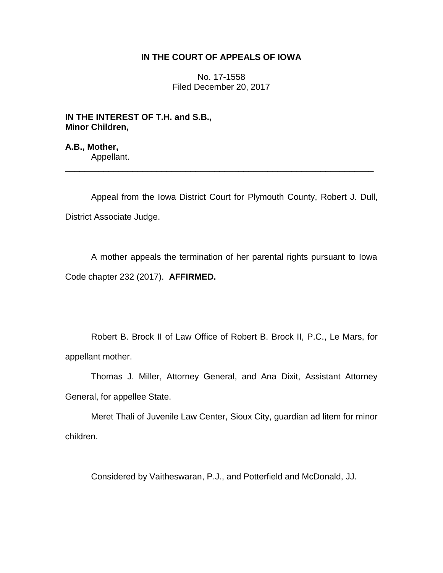## **IN THE COURT OF APPEALS OF IOWA**

No. 17-1558 Filed December 20, 2017

**IN THE INTEREST OF T.H. and S.B., Minor Children,**

**A.B., Mother,** Appellant.

Appeal from the Iowa District Court for Plymouth County, Robert J. Dull, District Associate Judge.

\_\_\_\_\_\_\_\_\_\_\_\_\_\_\_\_\_\_\_\_\_\_\_\_\_\_\_\_\_\_\_\_\_\_\_\_\_\_\_\_\_\_\_\_\_\_\_\_\_\_\_\_\_\_\_\_\_\_\_\_\_\_\_\_

A mother appeals the termination of her parental rights pursuant to Iowa Code chapter 232 (2017). **AFFIRMED.**

Robert B. Brock II of Law Office of Robert B. Brock II, P.C., Le Mars, for appellant mother.

Thomas J. Miller, Attorney General, and Ana Dixit, Assistant Attorney General, for appellee State.

Meret Thali of Juvenile Law Center, Sioux City, guardian ad litem for minor children.

Considered by Vaitheswaran, P.J., and Potterfield and McDonald, JJ.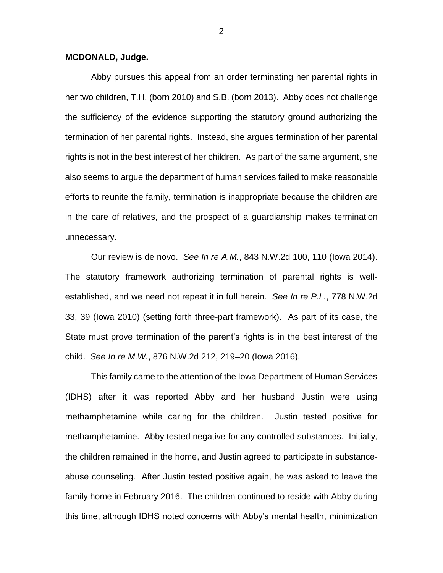## **MCDONALD, Judge.**

Abby pursues this appeal from an order terminating her parental rights in her two children, T.H. (born 2010) and S.B. (born 2013). Abby does not challenge the sufficiency of the evidence supporting the statutory ground authorizing the termination of her parental rights. Instead, she argues termination of her parental rights is not in the best interest of her children. As part of the same argument, she also seems to argue the department of human services failed to make reasonable efforts to reunite the family, termination is inappropriate because the children are in the care of relatives, and the prospect of a guardianship makes termination unnecessary.

Our review is de novo. *See In re A.M.*, 843 N.W.2d 100, 110 (Iowa 2014). The statutory framework authorizing termination of parental rights is wellestablished, and we need not repeat it in full herein. *See In re P.L.*, 778 N.W.2d 33, 39 (Iowa 2010) (setting forth three-part framework). As part of its case, the State must prove termination of the parent's rights is in the best interest of the child. *See In re M.W.*, 876 N.W.2d 212, 219–20 (Iowa 2016).

This family came to the attention of the Iowa Department of Human Services (IDHS) after it was reported Abby and her husband Justin were using methamphetamine while caring for the children. Justin tested positive for methamphetamine. Abby tested negative for any controlled substances. Initially, the children remained in the home, and Justin agreed to participate in substanceabuse counseling. After Justin tested positive again, he was asked to leave the family home in February 2016. The children continued to reside with Abby during this time, although IDHS noted concerns with Abby's mental health, minimization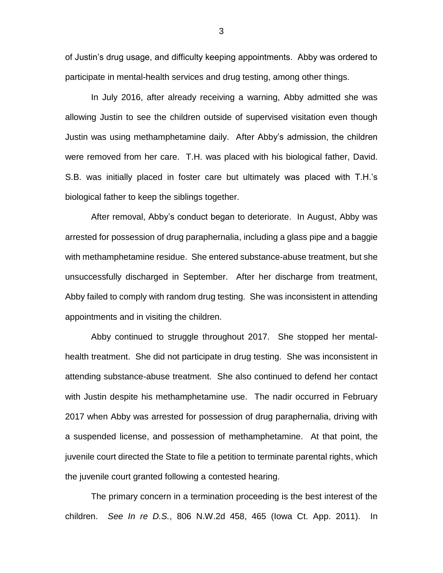of Justin's drug usage, and difficulty keeping appointments. Abby was ordered to participate in mental-health services and drug testing, among other things.

In July 2016, after already receiving a warning, Abby admitted she was allowing Justin to see the children outside of supervised visitation even though Justin was using methamphetamine daily. After Abby's admission, the children were removed from her care. T.H. was placed with his biological father, David. S.B. was initially placed in foster care but ultimately was placed with T.H.'s biological father to keep the siblings together.

After removal, Abby's conduct began to deteriorate. In August, Abby was arrested for possession of drug paraphernalia, including a glass pipe and a baggie with methamphetamine residue. She entered substance-abuse treatment, but she unsuccessfully discharged in September. After her discharge from treatment, Abby failed to comply with random drug testing. She was inconsistent in attending appointments and in visiting the children.

Abby continued to struggle throughout 2017. She stopped her mentalhealth treatment. She did not participate in drug testing. She was inconsistent in attending substance-abuse treatment. She also continued to defend her contact with Justin despite his methamphetamine use. The nadir occurred in February 2017 when Abby was arrested for possession of drug paraphernalia, driving with a suspended license, and possession of methamphetamine. At that point, the juvenile court directed the State to file a petition to terminate parental rights, which the juvenile court granted following a contested hearing.

The primary concern in a termination proceeding is the best interest of the children. *See In re D.S.*, 806 N.W.2d 458, 465 (Iowa Ct. App. 2011). In

3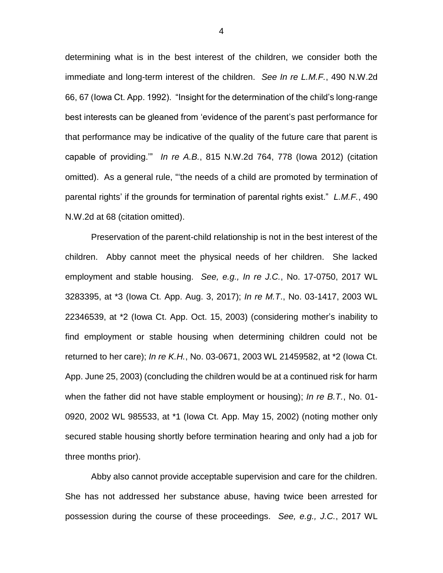determining what is in the best interest of the children, we consider both the immediate and long-term interest of the children. *See In re L.M.F.*, 490 N.W.2d 66, 67 (Iowa Ct. App. 1992). "Insight for the determination of the child's long-range best interests can be gleaned from 'evidence of the parent's past performance for that performance may be indicative of the quality of the future care that parent is capable of providing.'" *In re A.B.*, 815 N.W.2d 764, 778 (Iowa 2012) (citation omitted). As a general rule, "'the needs of a child are promoted by termination of parental rights' if the grounds for termination of parental rights exist." *L.M.F.*, 490 N.W.2d at 68 (citation omitted).

Preservation of the parent-child relationship is not in the best interest of the children. Abby cannot meet the physical needs of her children. She lacked employment and stable housing. *See, e.g., In re J.C.*, No. 17-0750, 2017 WL 3283395, at \*3 (Iowa Ct. App. Aug. 3, 2017); *In re M.T*., No. 03-1417, 2003 WL 22346539, at \*2 (Iowa Ct. App. Oct. 15, 2003) (considering mother's inability to find employment or stable housing when determining children could not be returned to her care); *In re K.H.*, No. 03-0671, 2003 WL 21459582, at \*2 (Iowa Ct. App. June 25, 2003) (concluding the children would be at a continued risk for harm when the father did not have stable employment or housing); *In re B.T.*, No. 01- 0920, 2002 WL 985533, at \*1 (Iowa Ct. App. May 15, 2002) (noting mother only secured stable housing shortly before termination hearing and only had a job for three months prior).

Abby also cannot provide acceptable supervision and care for the children. She has not addressed her substance abuse, having twice been arrested for possession during the course of these proceedings. *See, e.g., J.C.*, 2017 WL

4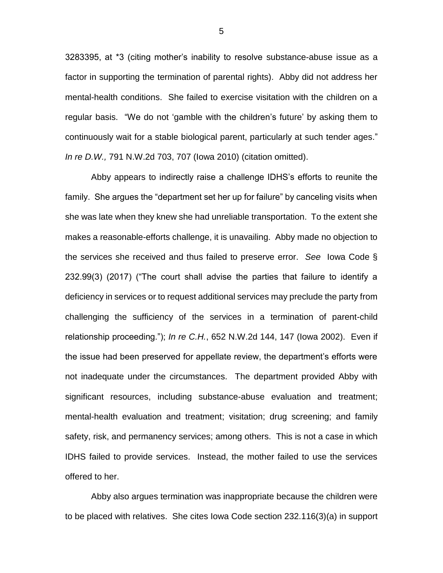3283395, at \*3 (citing mother's inability to resolve substance-abuse issue as a factor in supporting the termination of parental rights). Abby did not address her mental-health conditions. She failed to exercise visitation with the children on a regular basis. "We do not 'gamble with the children's future' by asking them to continuously wait for a stable biological parent, particularly at such tender ages." *In re D.W.,* 791 N.W.2d 703, 707 (Iowa 2010) (citation omitted).

Abby appears to indirectly raise a challenge IDHS's efforts to reunite the family. She argues the "department set her up for failure" by canceling visits when she was late when they knew she had unreliable transportation. To the extent she makes a reasonable-efforts challenge, it is unavailing. Abby made no objection to the services she received and thus failed to preserve error. *See* Iowa Code § 232.99(3) (2017) ("The court shall advise the parties that failure to identify a deficiency in services or to request additional services may preclude the party from challenging the sufficiency of the services in a termination of parent-child relationship proceeding."); *In re C.H.*, 652 N.W.2d 144, 147 (Iowa 2002). Even if the issue had been preserved for appellate review, the department's efforts were not inadequate under the circumstances. The department provided Abby with significant resources, including substance-abuse evaluation and treatment; mental-health evaluation and treatment; visitation; drug screening; and family safety, risk, and permanency services; among others. This is not a case in which IDHS failed to provide services. Instead, the mother failed to use the services offered to her.

Abby also argues termination was inappropriate because the children were to be placed with relatives. She cites Iowa Code section 232.116(3)(a) in support